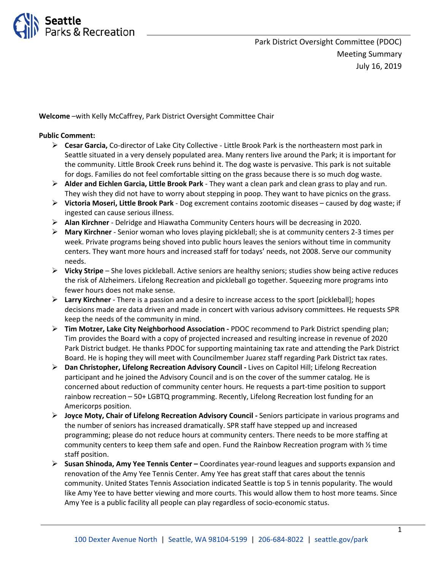

**Welcome** –with Kelly McCaffrey, Park District Oversight Committee Chair

#### **Public Comment:**

- **Cesar Garcia,** Co-director of Lake City Collective Little Brook Park is the northeastern most park in Seattle situated in a very densely populated area. Many renters live around the Park; it is important for the community. Little Brook Creek runs behind it. The dog waste is pervasive. This park is not suitable for dogs. Families do not feel comfortable sitting on the grass because there is so much dog waste.
- **Alder and Eichlen Garcia, Little Brook Park** They want a clean park and clean grass to play and run. They wish they did not have to worry about stepping in poop. They want to have picnics on the grass.
- **Victoria Moseri, Little Brook Park** Dog excrement contains zootomic diseases caused by dog waste; if ingested can cause serious illness.
- **Alan Kirchner**  Delridge and Hiawatha Community Centers hours will be decreasing in 2020.
- **Mary Kirchner**  Senior woman who loves playing pickleball; she is at community centers 2-3 times per week. Private programs being shoved into public hours leaves the seniors without time in community centers. They want more hours and increased staff for todays' needs, not 2008. Serve our community needs.
- **Vicky Stripe**  She loves pickleball. Active seniors are healthy seniors; studies show being active reduces the risk of Alzheimers. Lifelong Recreation and pickleball go together. Squeezing more programs into fewer hours does not make sense.
- **Larry Kirchner**  There is a passion and a desire to increase access to the sport [pickleball]; hopes decisions made are data driven and made in concert with various advisory committees. He requests SPR keep the needs of the community in mind.
- **Tim Motzer, Lake City Neighborhood Association -** PDOC recommend to Park District spending plan; Tim provides the Board with a copy of projected increased and resulting increase in revenue of 2020 Park District budget. He thanks PDOC for supporting maintaining tax rate and attending the Park District Board. He is hoping they will meet with Councilmember Juarez staff regarding Park District tax rates.
- **Dan Christopher, Lifelong Recreation Advisory Council -** Lives on Capitol Hill; Lifelong Recreation participant and he joined the Advisory Council and is on the cover of the summer catalog. He is concerned about reduction of community center hours. He requests a part-time position to support rainbow recreation – 50+ LGBTQ programming. Recently, Lifelong Recreation lost funding for an Americorps position.
- **Joyce Moty, Chair of Lifelong Recreation Advisory Council -** Seniors participate in various programs and the number of seniors has increased dramatically. SPR staff have stepped up and increased programming; please do not reduce hours at community centers. There needs to be more staffing at community centers to keep them safe and open. Fund the Rainbow Recreation program with ½ time staff position.
- **Susan Shinoda, Amy Yee Tennis Center –** Coordinates year-round leagues and supports expansion and renovation of the Amy Yee Tennis Center. Amy Yee has great staff that cares about the tennis community. United States Tennis Association indicated Seattle is top 5 in tennis popularity. The would like Amy Yee to have better viewing and more courts. This would allow them to host more teams. Since Amy Yee is a public facility all people can play regardless of socio-economic status.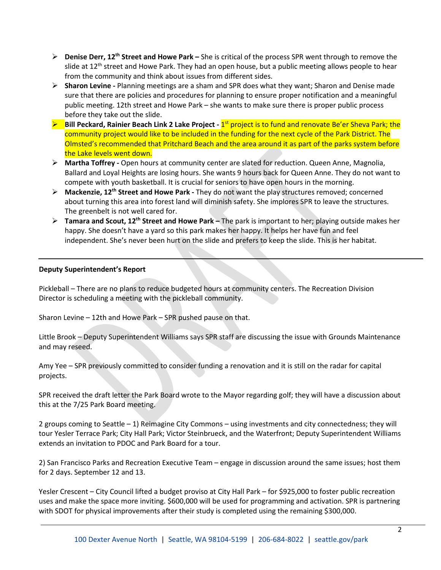- **Denise Derr, 12th Street and Howe Park –** She is critical of the process SPR went through to remove the slide at 12<sup>th</sup> street and Howe Park. They had an open house, but a public meeting allows people to hear from the community and think about issues from different sides.
- **Sharon Levine -** Planning meetings are a sham and SPR does what they want; Sharon and Denise made sure that there are policies and procedures for planning to ensure proper notification and a meaningful public meeting. 12th street and Howe Park – she wants to make sure there is proper public process before they take out the slide.
- **Bill Peckard, Rainier Beach Link 2 Lake Project 1<sup>st</sup> project is to fund and renovate Be'er Sheva Park; the** community project would like to be included in the funding for the next cycle of the Park District. The Olmsted's recommended that Pritchard Beach and the area around it as part of the parks system before the Lake levels went down.
- **Martha Toffrey -** Open hours at community center are slated for reduction. Queen Anne, Magnolia, Ballard and Loyal Heights are losing hours. She wants 9 hours back for Queen Anne. They do not want to compete with youth basketball. It is crucial for seniors to have open hours in the morning.
- **Mackenzie, 12th Street and Howe Park -** They do not want the play structures removed; concerned about turning this area into forest land will diminish safety. She implores SPR to leave the structures. The greenbelt is not well cared for.
- **Tamara and Scout, 12th Street and Howe Park –** The park is important to her; playing outside makes her happy. She doesn't have a yard so this park makes her happy. It helps her have fun and feel independent. She's never been hurt on the slide and prefers to keep the slide. This is her habitat.

## **Deputy Superintendent's Report**

Pickleball – There are no plans to reduce budgeted hours at community centers. The Recreation Division Director is scheduling a meeting with the pickleball community.

Sharon Levine – 12th and Howe Park – SPR pushed pause on that.

Little Brook – Deputy Superintendent Williams says SPR staff are discussing the issue with Grounds Maintenance and may reseed.

Amy Yee – SPR previously committed to consider funding a renovation and it is still on the radar for capital projects.

SPR received the draft letter the Park Board wrote to the Mayor regarding golf; they will have a discussion about this at the 7/25 Park Board meeting.

2 groups coming to Seattle – 1) Reimagine City Commons – using investments and city connectedness; they will tour Yesler Terrace Park; City Hall Park; Victor Steinbrueck, and the Waterfront; Deputy Superintendent Williams extends an invitation to PDOC and Park Board for a tour.

2) San Francisco Parks and Recreation Executive Team – engage in discussion around the same issues; host them for 2 days. September 12 and 13.

Yesler Crescent – City Council lifted a budget proviso at City Hall Park – for \$925,000 to foster public recreation uses and make the space more inviting. \$600,000 will be used for programming and activation. SPR is partnering with SDOT for physical improvements after their study is completed using the remaining \$300,000.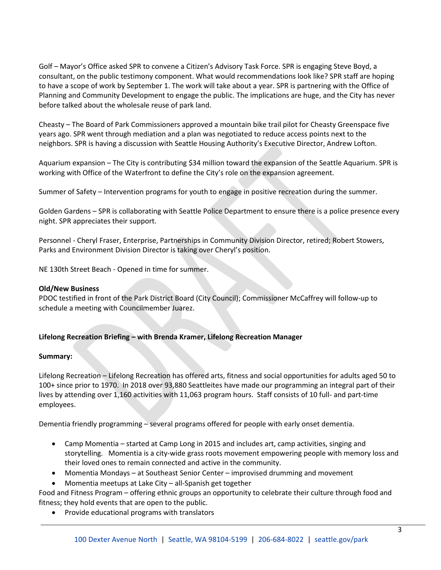Golf – Mayor's Office asked SPR to convene a Citizen's Advisory Task Force. SPR is engaging Steve Boyd, a consultant, on the public testimony component. What would recommendations look like? SPR staff are hoping to have a scope of work by September 1. The work will take about a year. SPR is partnering with the Office of Planning and Community Development to engage the public. The implications are huge, and the City has never before talked about the wholesale reuse of park land.

Cheasty – The Board of Park Commissioners approved a mountain bike trail pilot for Cheasty Greenspace five years ago. SPR went through mediation and a plan was negotiated to reduce access points next to the neighbors. SPR is having a discussion with Seattle Housing Authority's Executive Director, Andrew Lofton.

Aquarium expansion – The City is contributing \$34 million toward the expansion of the Seattle Aquarium. SPR is working with Office of the Waterfront to define the City's role on the expansion agreement.

Summer of Safety – Intervention programs for youth to engage in positive recreation during the summer.

Golden Gardens – SPR is collaborating with Seattle Police Department to ensure there is a police presence every night. SPR appreciates their support.

Personnel - Cheryl Fraser, Enterprise, Partnerships in Community Division Director, retired; Robert Stowers, Parks and Environment Division Director is taking over Cheryl's position.

NE 130th Street Beach - Opened in time for summer.

#### **Old/New Business**

PDOC testified in front of the Park District Board (City Council); Commissioner McCaffrey will follow-up to schedule a meeting with Councilmember Juarez.

## **Lifelong Recreation Briefing – with Brenda Kramer, Lifelong Recreation Manager**

## **Summary:**

Lifelong Recreation – Lifelong Recreation has offered arts, fitness and social opportunities for adults aged 50 to 100+ since prior to 1970. In 2018 over 93,880 Seattleites have made our programming an integral part of their lives by attending over 1,160 activities with 11,063 program hours. Staff consists of 10 full- and part-time employees.

Dementia friendly programming – several programs offered for people with early onset dementia.

- Camp Momentia started at Camp Long in 2015 and includes art, camp activities, singing and storytelling. Momentia is a city-wide grass roots movement empowering people with memory loss and their loved ones to remain connected and active in the community.
- Momentia Mondays at Southeast Senior Center improvised drumming and movement
- Momentia meetups at Lake City all-Spanish get together

Food and Fitness Program – offering ethnic groups an opportunity to celebrate their culture through food and fitness; they hold events that are open to the public.

• Provide educational programs with translators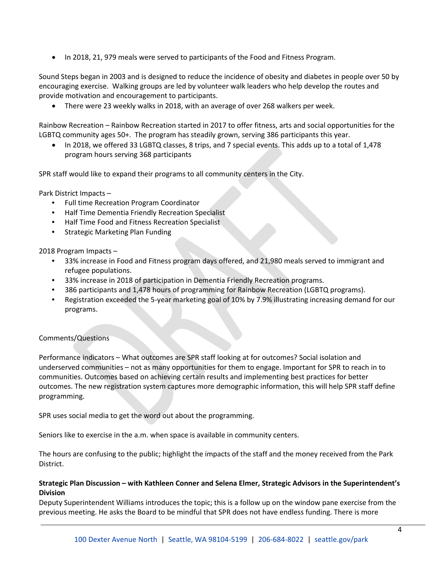• In 2018, 21, 979 meals were served to participants of the Food and Fitness Program.

Sound Steps began in 2003 and is designed to reduce the incidence of obesity and diabetes in people over 50 by encouraging exercise. Walking groups are led by volunteer walk leaders who help develop the routes and provide motivation and encouragement to participants.

• There were 23 weekly walks in 2018, with an average of over 268 walkers per week.

Rainbow Recreation – Rainbow Recreation started in 2017 to offer fitness, arts and social opportunities for the LGBTQ community ages 50+. The program has steadily grown, serving 386 participants this year.

• In 2018, we offered 33 LGBTQ classes, 8 trips, and 7 special events. This adds up to a total of 1,478 program hours serving 368 participants

SPR staff would like to expand their programs to all community centers in the City.

Park District Impacts –

- Full time Recreation Program Coordinator
- Half Time Dementia Friendly Recreation Specialist
- Half Time Food and Fitness Recreation Specialist
- Strategic Marketing Plan Funding

2018 Program Impacts –

- 33% increase in Food and Fitness program days offered, and 21,980 meals served to immigrant and refugee populations.
- 33% increase in 2018 of participation in Dementia Friendly Recreation programs.
- 386 participants and 1,478 hours of programming for Rainbow Recreation (LGBTQ programs).
- Registration exceeded the 5-year marketing goal of 10% by 7.9% illustrating increasing demand for our programs.

## Comments/Questions

Performance indicators – What outcomes are SPR staff looking at for outcomes? Social isolation and underserved communities – not as many opportunities for them to engage. Important for SPR to reach in to communities. Outcomes based on achieving certain results and implementing best practices for better outcomes. The new registration system captures more demographic information, this will help SPR staff define programming.

SPR uses social media to get the word out about the programming.

Seniors like to exercise in the a.m. when space is available in community centers.

The hours are confusing to the public; highlight the impacts of the staff and the money received from the Park District.

## **Strategic Plan Discussion – with Kathleen Conner and Selena Elmer, Strategic Advisors in the Superintendent's Division**

Deputy Superintendent Williams introduces the topic; this is a follow up on the window pane exercise from the previous meeting. He asks the Board to be mindful that SPR does not have endless funding. There is more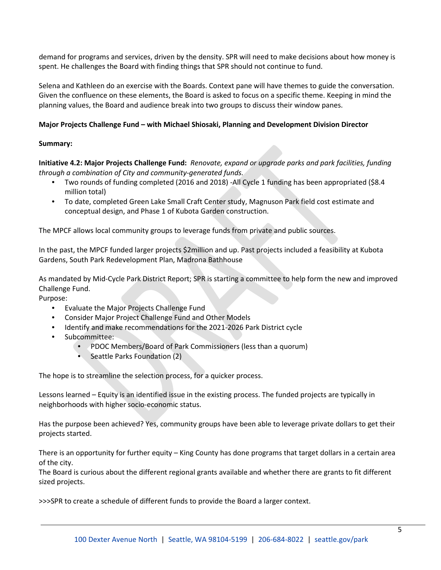demand for programs and services, driven by the density. SPR will need to make decisions about how money is spent. He challenges the Board with finding things that SPR should not continue to fund.

Selena and Kathleen do an exercise with the Boards. Context pane will have themes to guide the conversation. Given the confluence on these elements, the Board is asked to focus on a specific theme. Keeping in mind the planning values, the Board and audience break into two groups to discuss their window panes.

# **Major Projects Challenge Fund – with Michael Shiosaki, Planning and Development Division Director**

## **Summary:**

**Initiative 4.2: Major Projects Challenge Fund:** *Renovate, expand or upgrade parks and park facilities, funding through a combination of City and community-generated funds.* 

- Two rounds of funding completed (2016 and 2018) -All Cycle 1 funding has been appropriated (\$8.4 million total)
- To date, completed Green Lake Small Craft Center study, Magnuson Park field cost estimate and conceptual design, and Phase 1 of Kubota Garden construction.

The MPCF allows local community groups to leverage funds from private and public sources.

In the past, the MPCF funded larger projects \$2million and up. Past projects included a feasibility at Kubota Gardens, South Park Redevelopment Plan, Madrona Bathhouse

As mandated by Mid-Cycle Park District Report; SPR is starting a committee to help form the new and improved Challenge Fund.

Purpose:

- Evaluate the Major Projects Challenge Fund
- Consider Major Project Challenge Fund and Other Models
- Identify and make recommendations for the 2021-2026 Park District cycle
- Subcommittee:
	- PDOC Members/Board of Park Commissioners (less than a quorum)
	- Seattle Parks Foundation (2)

The hope is to streamline the selection process, for a quicker process.

Lessons learned – Equity is an identified issue in the existing process. The funded projects are typically in neighborhoods with higher socio-economic status.

Has the purpose been achieved? Yes, community groups have been able to leverage private dollars to get their projects started.

There is an opportunity for further equity – King County has done programs that target dollars in a certain area of the city.

The Board is curious about the different regional grants available and whether there are grants to fit different sized projects.

>>>SPR to create a schedule of different funds to provide the Board a larger context.